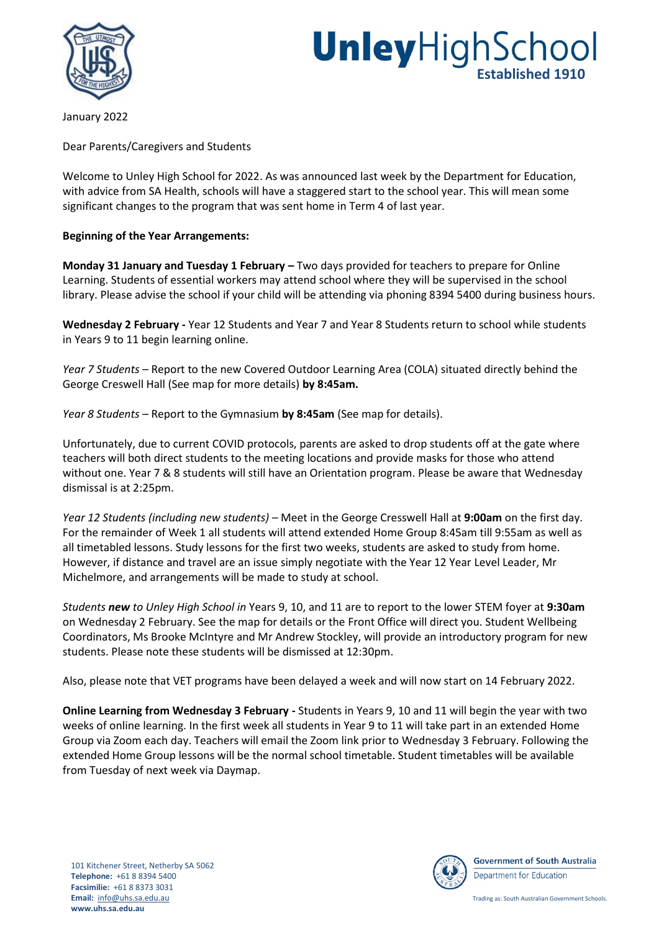

## **Unley**HighSchool **Established 1910**

January 2022

Dear Parents/Caregivers and Students

Welcome to Unley High School for 2022. As was announced last week by the Department for Education, with advice from SA Health, schools will have a staggered start to the school year. This will mean some significant changes to the program that was sent home in Term 4 of last year.

### **Beginning of the Year Arrangements:**

**Monday 31 January and Tuesday 1 February –** Two days provided for teachers to prepare for Online Learning. Students of essential workers may attend school where they will be supervised in the school library. Please advise the school if your child will be attending via phoning 8394 5400 during business hours.

**Wednesday 2 February -** Year 12 Students and Year 7 and Year 8 Students return to school while students in Years 9 to 11 begin learning online.

*Year 7 Students –* Report to the new Covered Outdoor Learning Area (COLA) situated directly behind the George Creswell Hall (See map for more details) **by 8:45am.**

*Year 8 Students –* Report to the Gymnasium **by 8:45am** (See map for details).

Unfortunately, due to current COVID protocols, parents are asked to drop students off at the gate where teachers will both direct students to the meeting locations and provide masks for those who attend without one. Year 7 & 8 students will still have an Orientation program. Please be aware that Wednesday dismissal is at 2:25pm.

*Year 12 Students (including new students) –* Meet in the George Cresswell Hall at **9:00am** on the first day. For the remainder of Week 1 all students will attend extended Home Group 8:45am till 9:55am as well as all timetabled lessons. Study lessons for the first two weeks, students are asked to study from home. However, if distance and travel are an issue simply negotiate with the Year 12 Year Level Leader, Mr Michelmore, and arrangements will be made to study at school.

*Students new to Unley High School in* Years 9, 10, and 11 are to report to the lower STEM foyer at **9:30am** on Wednesday 2 February. See the map for details or the Front Office will direct you. Student Wellbeing Coordinators, Ms Brooke McIntyre and Mr Andrew Stockley, will provide an introductory program for new students. Please note these students will be dismissed at 12:30pm.

Also, please note that VET programs have been delayed a week and will now start on 14 February 2022.

**Online Learning from Wednesday 3 February -** Students in Years 9, 10 and 11 will begin the year with two weeks of online learning. In the first week all students in Year 9 to 11 will take part in an extended Home Group via Zoom each day. Teachers will email the Zoom link prior to Wednesday 3 February. Following the extended Home Group lessons will be the normal school timetable. Student timetables will be available from Tuesday of next week via Daymap.



**Government of South Australia** Department for Education